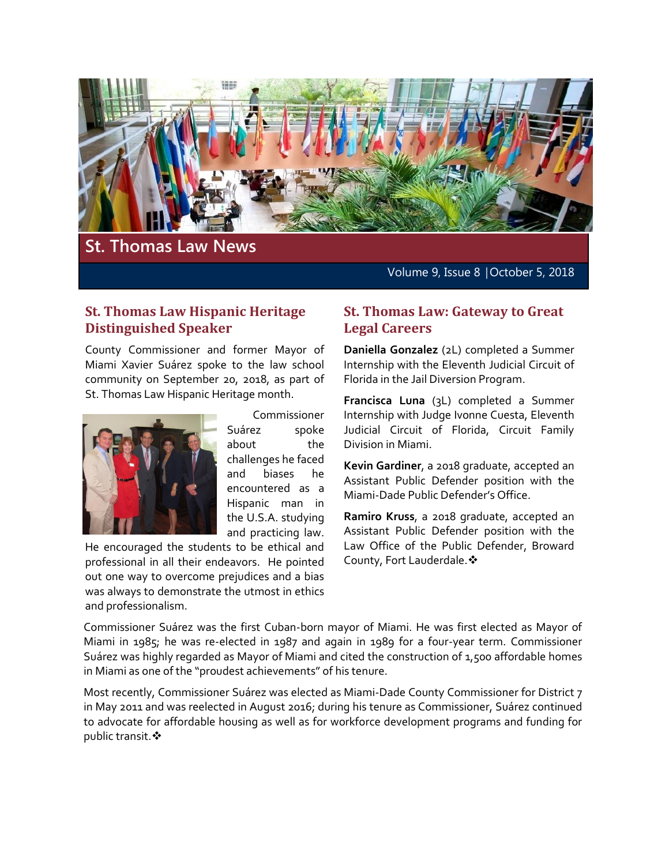

# **St. Thomas Law News**

Volume 9, Issue 8 | October 5, 2018

### **St. Thomas Law Hispanic Heritage Distinguished Speaker**

County Commissioner and former Mayor of Miami Xavier Suárez spoke to the law school community on September 20, 2018, as part of St. Thomas Law Hispanic Heritage month.



Commissioner Suárez spoke about the challenges he faced and biases he encountered as a Hispanic man in the U.S.A. studying and practicing law.

He encouraged the students to be ethical and professional in all their endeavors. He pointed out one way to overcome prejudices and a bias was always to demonstrate the utmost in ethics and professionalism.

### **St. Thomas Law: Gateway to Great Legal Careers**

**Daniella Gonzalez** (2L) completed a Summer Internship with the Eleventh Judicial Circuit of Florida in the Jail Diversion Program.

**Francisca Luna** (3L) completed a Summer Internship with Judge Ivonne Cuesta, Eleventh Judicial Circuit of Florida, Circuit Family Division in Miami.

**Kevin Gardiner**, a 2018 graduate, accepted an Assistant Public Defender position with the Miami-Dade Public Defender's Office.

**Ramiro Kruss**, a 2018 graduate, accepted an Assistant Public Defender position with the Law Office of the Public Defender, Broward County, Fort Lauderdale. ❖

Commissioner Suárez was the first Cuban-born mayor of Miami. He was first elected as Mayor of Miami in 1985; he was re-elected in 1987 and again in 1989 for a four-year term. Commissioner Suárez was highly regarded as Mayor of Miami and cited the construction of 1,500 affordable homes in Miami as one of the "proudest achievements" of his tenure.

Most recently, Commissioner Suárez was elected as Miami-Dade County Commissioner for District 7 in May 2011 and was reelected in August 2016; during his tenure as Commissioner, Suárez continued to advocate for affordable housing as well as for workforce development programs and funding for public transit. ❖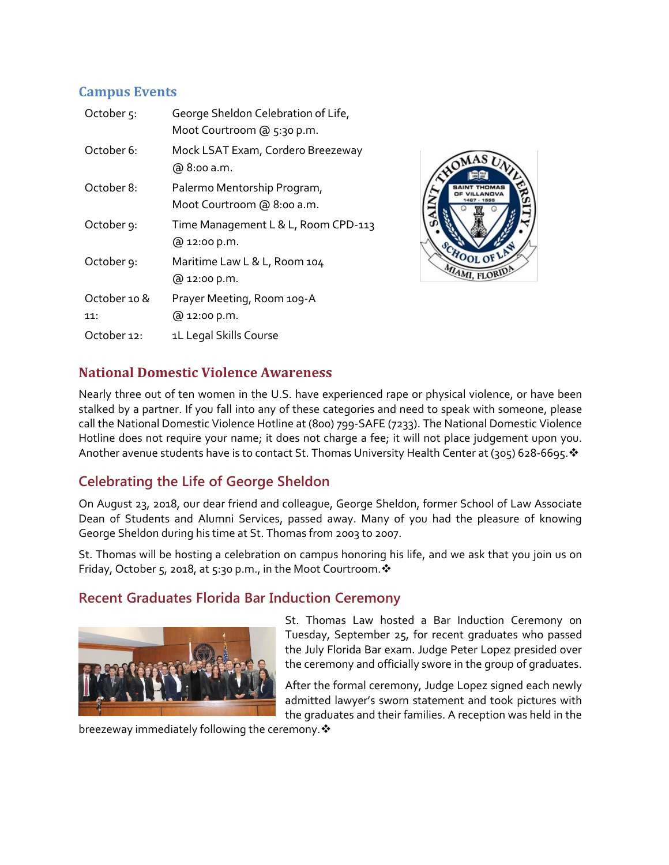# **Campus Events**

| October <sub>5</sub> : | George Sheldon Celebration of Life,<br>Moot Courtroom @ 5:30 p.m. |
|------------------------|-------------------------------------------------------------------|
| October 6:             | Mock LSAT Exam, Cordero Breezeway<br>@ 8:00 a.m.                  |
| October 8:             | Palermo Mentorship Program,<br>Moot Courtroom @ 8:00 a.m.         |
| October 9:             | Time Management L & L, Room CPD-113<br>@ 12:00 p.m.               |
| October 9:             | Maritime Law L & L, Room 104<br>@ 12:00 p.m.                      |
| October 10 &           | Prayer Meeting, Room 109-A                                        |
| 11:                    | @ 12:00 p.m.                                                      |
| October 12:            | 1L Legal Skills Course                                            |



# **National Domestic Violence Awareness**

Nearly three out of ten women in the U.S. have experienced rape or physical violence, or have been stalked by a partner. If you fall into any of these categories and need to speak with someone, please call the National Domestic Violence Hotline at (800) 799-SAFE (7233). The National Domestic Violence Hotline does not require your name; it does not charge a fee; it will not place judgement upon you. Another avenue students have is to contact St. Thomas University Health Center at (305) 628-6695. ❖

# **Celebrating the Life of George Sheldon**

On August 23, 2018, our dear friend and colleague, George Sheldon, former School of Law Associate Dean of Students and Alumni Services, passed away. Many of you had the pleasure of knowing George Sheldon during his time at St. Thomas from 2003 to 2007.

St. Thomas will be hosting a celebration on campus honoring his life, and we ask that you join us on Friday, October 5, 2018, at 5:30 p.m., in the Moot Courtroom.  $\cdot$ 

# **Recent Graduates Florida Bar Induction Ceremony**



St. Thomas Law hosted a Bar Induction Ceremony on Tuesday, September 25, for recent graduates who passed the July Florida Bar exam. Judge Peter Lopez presided over the ceremony and officially swore in the group of graduates.

After the formal ceremony, Judge Lopez signed each newly admitted lawyer's sworn statement and took pictures with the graduates and their families. A reception was held in the

breezeway immediately following the ceremony.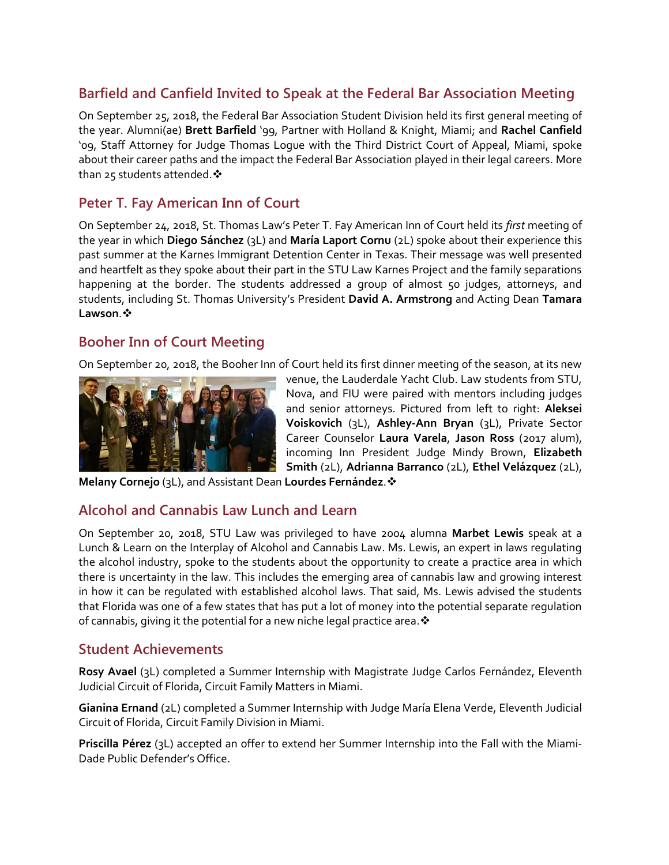# **Barfield and Canfield Invited to Speak at the Federal Bar Association Meeting**

On September 25, 2018, the Federal Bar Association Student Division held its first general meeting of the year. Alumni(ae) **Brett Barfield** '99, Partner with Holland & Knight, Miami; and **Rachel Canfield** '09, Staff Attorney for Judge Thomas Logue with the Third District Court of Appeal, Miami, spoke about their career paths and the impact the Federal Bar Association played in their legal careers. More than 25 students attended. ❖

### **Peter T. Fay American Inn of Court**

On September 24, 2018, St. Thomas Law's Peter T. Fay American Inn of Court held its *first* meeting of the year in which **Diego Sánchez** (3L) and **María Laport Cornu** (2L) spoke about their experience this past summer at the Karnes Immigrant Detention Center in Texas. Their message was well presented and heartfelt as they spoke about their part in the STU Law Karnes Project and the family separations happening at the border. The students addressed a group of almost 50 judges, attorneys, and students, including St. Thomas University's President **David A. Armstrong** and Acting Dean **Tamara Lawson**.

# **Booher Inn of Court Meeting**

On September 20, 2018, the Booher Inn of Court held its first dinner meeting of the season, at its new



venue, the Lauderdale Yacht Club. Law students from STU, Nova, and FIU were paired with mentors including judges and senior attorneys. Pictured from left to right: **Aleksei Voiskovich** (3L), **Ashley-Ann Bryan** (3L), Private Sector Career Counselor **Laura Varela**, **Jason Ross** (2017 alum), incoming Inn President Judge Mindy Brown, **Elizabeth Smith** (2L), **Adrianna Barranco** (2L), **Ethel Velázquez** (2L),

**Melany Cornejo** (3L), and Assistant Dean **Lourdes Fernández**.

### **Alcohol and Cannabis Law Lunch and Learn**

On September 20, 2018, STU Law was privileged to have 2004 alumna **Marbet Lewis** speak at a Lunch & Learn on the Interplay of Alcohol and Cannabis Law. Ms. Lewis, an expert in laws regulating the alcohol industry, spoke to the students about the opportunity to create a practice area in which there is uncertainty in the law. This includes the emerging area of cannabis law and growing interest in how it can be regulated with established alcohol laws. That said, Ms. Lewis advised the students that Florida was one of a few states that has put a lot of money into the potential separate regulation of cannabis, giving it the potential for a new niche legal practice area.  $\cdot$ 

#### **Student Achievements**

**Rosy Avael** (3L) completed a Summer Internship with Magistrate Judge Carlos Fernández, Eleventh Judicial Circuit of Florida, Circuit Family Matters in Miami.

**Gianina Ernand** (2L) completed a Summer Internship with Judge María Elena Verde, Eleventh Judicial Circuit of Florida, Circuit Family Division in Miami.

**Priscilla Pérez** (3L) accepted an offer to extend her Summer Internship into the Fall with the Miami-Dade Public Defender's Office.